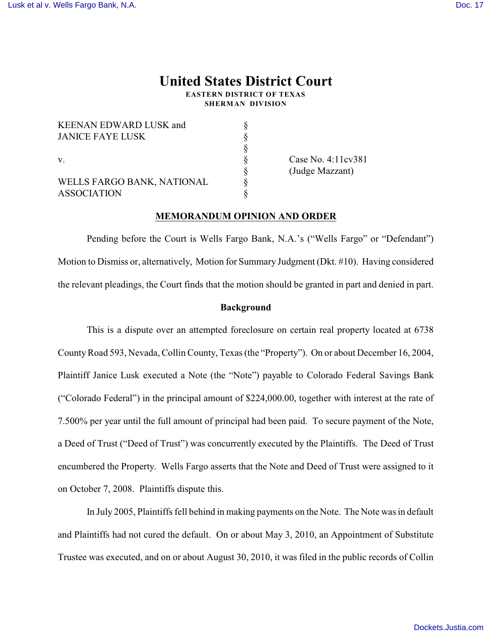# **United States District Court**

**EASTERN DISTRICT OF TEXAS SHERMAN DIVISION**

| <b>KEENAN EDWARD LUSK and</b> |  |
|-------------------------------|--|
| <b>JANICE FAYE LUSK</b><br>V. |  |
|                               |  |
|                               |  |
|                               |  |
| WELLS FARGO BANK, NATIONAL    |  |
| <b>ASSOCIATION</b>            |  |

Case No. 4:11cv381 § (Judge Mazzant)

## **MEMORANDUM OPINION AND ORDER**

Pending before the Court is Wells Fargo Bank, N.A.'s ("Wells Fargo" or "Defendant") Motion to Dismiss or, alternatively, Motion for Summary Judgment (Dkt. #10). Having considered the relevant pleadings, the Court finds that the motion should be granted in part and denied in part.

## **Background**

This is a dispute over an attempted foreclosure on certain real property located at 6738 CountyRoad 593, Nevada, Collin County, Texas (the "Property"). On or about December 16, 2004, Plaintiff Janice Lusk executed a Note (the "Note") payable to Colorado Federal Savings Bank ("Colorado Federal") in the principal amount of \$224,000.00, together with interest at the rate of 7.500% per year until the full amount of principal had been paid. To secure payment of the Note, a Deed of Trust ("Deed of Trust") was concurrently executed by the Plaintiffs. The Deed of Trust encumbered the Property. Wells Fargo asserts that the Note and Deed of Trust were assigned to it on October 7, 2008. Plaintiffs dispute this.

In July 2005, Plaintiffs fell behind in making payments on the Note. The Note was in default and Plaintiffs had not cured the default. On or about May 3, 2010, an Appointment of Substitute Trustee was executed, and on or about August 30, 2010, it was filed in the public records of Collin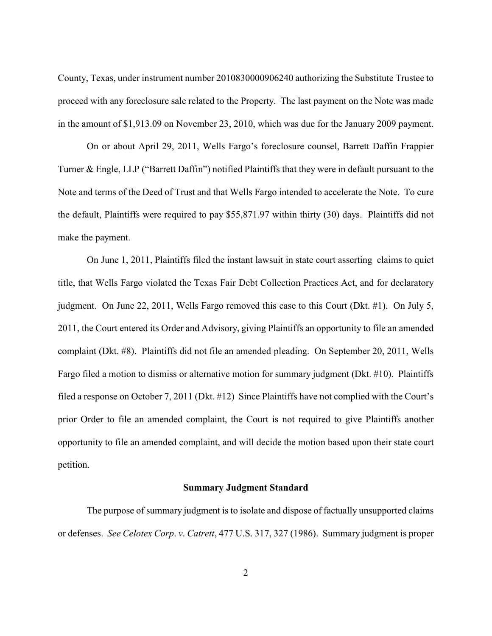County, Texas, under instrument number 2010830000906240 authorizing the Substitute Trustee to proceed with any foreclosure sale related to the Property. The last payment on the Note was made in the amount of \$1,913.09 on November 23, 2010, which was due for the January 2009 payment.

On or about April 29, 2011, Wells Fargo's foreclosure counsel, Barrett Daffin Frappier Turner & Engle, LLP ("Barrett Daffin") notified Plaintiffs that they were in default pursuant to the Note and terms of the Deed of Trust and that Wells Fargo intended to accelerate the Note. To cure the default, Plaintiffs were required to pay \$55,871.97 within thirty (30) days. Plaintiffs did not make the payment.

On June 1, 2011, Plaintiffs filed the instant lawsuit in state court asserting claims to quiet title, that Wells Fargo violated the Texas Fair Debt Collection Practices Act, and for declaratory judgment. On June 22, 2011, Wells Fargo removed this case to this Court (Dkt. #1). On July 5, 2011, the Court entered its Order and Advisory, giving Plaintiffs an opportunity to file an amended complaint (Dkt. #8). Plaintiffs did not file an amended pleading. On September 20, 2011, Wells Fargo filed a motion to dismiss or alternative motion for summary judgment (Dkt. #10). Plaintiffs filed a response on October 7, 2011 (Dkt. #12) Since Plaintiffs have not complied with the Court's prior Order to file an amended complaint, the Court is not required to give Plaintiffs another opportunity to file an amended complaint, and will decide the motion based upon their state court petition.

# **Summary Judgment Standard**

The purpose of summary judgment is to isolate and dispose of factually unsupported claims or defenses. *See Celotex Corp*. *v*. *Catrett*, 477 U.S. 317, 327 (1986). Summary judgment is proper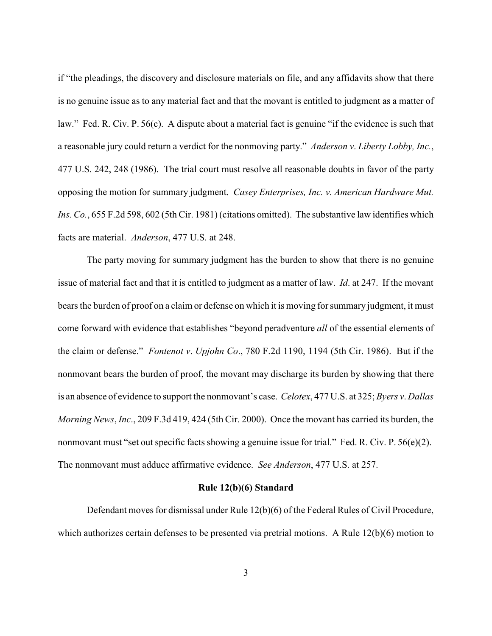if "the pleadings, the discovery and disclosure materials on file, and any affidavits show that there is no genuine issue as to any material fact and that the movant is entitled to judgment as a matter of law." Fed. R. Civ. P. 56(c). A dispute about a material fact is genuine "if the evidence is such that a reasonable jury could return a verdict for the nonmoving party." *Anderson v*. *Liberty Lobby, Inc.*, 477 U.S. 242, 248 (1986). The trial court must resolve all reasonable doubts in favor of the party opposing the motion for summary judgment. *Casey Enterprises, Inc. v. American Hardware Mut. Ins. Co.*, 655 F.2d 598, 602 (5th Cir. 1981) (citations omitted). The substantive law identifies which facts are material. *Anderson*, 477 U.S. at 248.

The party moving for summary judgment has the burden to show that there is no genuine issue of material fact and that it is entitled to judgment as a matter of law. *Id*. at 247. If the movant bears the burden of proof on a claim or defense on which it is moving for summary judgment, it must come forward with evidence that establishes "beyond peradventure *all* of the essential elements of the claim or defense." *Fontenot v*. *Upjohn Co*., 780 F.2d 1190, 1194 (5th Cir. 1986). But if the nonmovant bears the burden of proof, the movant may discharge its burden by showing that there is an absence of evidence to support the nonmovant's case. *Celotex*, 477 U.S. at 325; *Byers v*. *Dallas Morning News*, *Inc*., 209 F.3d 419, 424 (5th Cir. 2000). Once the movant has carried its burden, the nonmovant must "set out specific facts showing a genuine issue for trial." Fed. R. Civ. P. 56(e)(2). The nonmovant must adduce affirmative evidence. *See Anderson*, 477 U.S. at 257.

# **Rule 12(b)(6) Standard**

Defendant moves for dismissal under Rule 12(b)(6) of the Federal Rules of Civil Procedure, which authorizes certain defenses to be presented via pretrial motions. A Rule 12(b)(6) motion to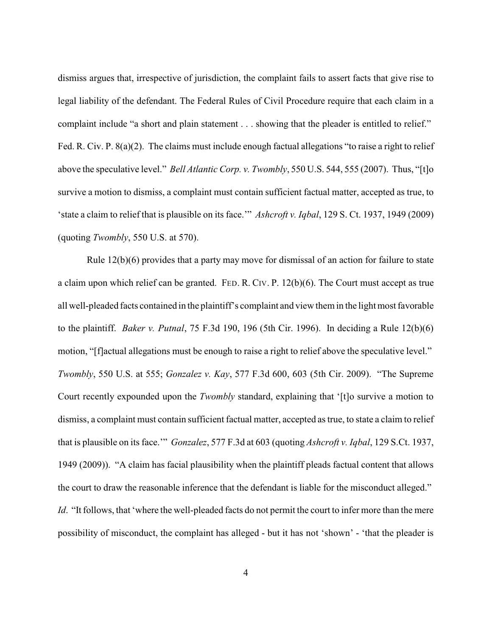dismiss argues that, irrespective of jurisdiction, the complaint fails to assert facts that give rise to legal liability of the defendant. The Federal Rules of Civil Procedure require that each claim in a complaint include "a short and plain statement . . . showing that the pleader is entitled to relief." Fed. R. Civ. P. 8(a)(2). The claims must include enough factual allegations "to raise a right to relief above the speculative level." *Bell Atlantic Corp. v. Twombly*, 550 U.S. 544, 555 (2007). Thus, "[t]o survive a motion to dismiss, a complaint must contain sufficient factual matter, accepted as true, to 'state a claim to relief that is plausible on its face.'" *Ashcroft v. Iqbal*, 129 S. Ct. 1937, 1949 (2009) (quoting *Twombly*, 550 U.S. at 570).

Rule 12(b)(6) provides that a party may move for dismissal of an action for failure to state a claim upon which relief can be granted. FED. R. CIV. P. 12(b)(6). The Court must accept as true all well-pleaded facts contained in the plaintiff's complaint and view them in the light most favorable to the plaintiff. *Baker v. Putnal*, 75 F.3d 190, 196 (5th Cir. 1996). In deciding a Rule 12(b)(6) motion, "[f]actual allegations must be enough to raise a right to relief above the speculative level." *Twombly*, 550 U.S. at 555; *Gonzalez v. Kay*, 577 F.3d 600, 603 (5th Cir. 2009). "The Supreme Court recently expounded upon the *Twombly* standard, explaining that '[t]o survive a motion to dismiss, a complaint must contain sufficient factual matter, accepted as true, to state a claim to relief that is plausible on its face.'" *Gonzalez*, 577 F.3d at 603 (quoting *Ashcroft v. Iqbal*, 129 S.Ct. 1937, 1949 (2009)). "A claim has facial plausibility when the plaintiff pleads factual content that allows the court to draw the reasonable inference that the defendant is liable for the misconduct alleged." *Id.* "It follows, that 'where the well-pleaded facts do not permit the court to infer more than the mere possibility of misconduct, the complaint has alleged - but it has not 'shown' - 'that the pleader is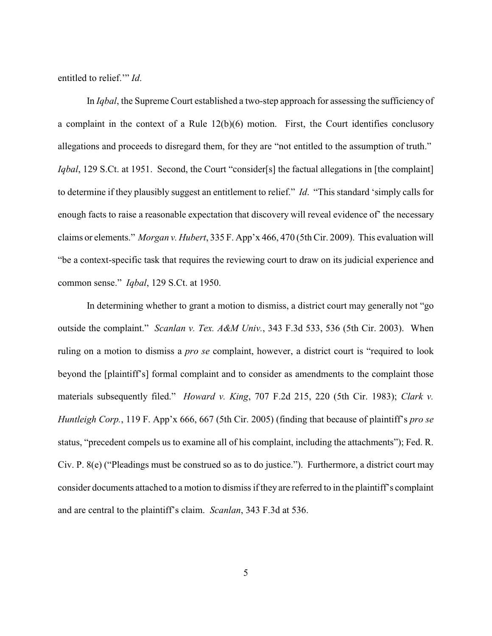entitled to relief.'" *Id*.

In *Iqbal*, the Supreme Court established a two-step approach for assessing the sufficiency of a complaint in the context of a Rule 12(b)(6) motion. First, the Court identifies conclusory allegations and proceeds to disregard them, for they are "not entitled to the assumption of truth." *Iqbal*, 129 S.Ct. at 1951. Second, the Court "consider[s] the factual allegations in [the complaint] to determine if they plausibly suggest an entitlement to relief." *Id*. "This standard 'simply calls for enough facts to raise a reasonable expectation that discovery will reveal evidence of' the necessary claims or elements." *Morgan v. Hubert*, 335 F. App'x 466, 470 (5th Cir. 2009). This evaluation will "be a context-specific task that requires the reviewing court to draw on its judicial experience and common sense." *Iqbal*, 129 S.Ct. at 1950.

In determining whether to grant a motion to dismiss, a district court may generally not "go outside the complaint." *Scanlan v. Tex. A&M Univ.*, 343 F.3d 533, 536 (5th Cir. 2003). When ruling on a motion to dismiss a *pro se* complaint, however, a district court is "required to look beyond the [plaintiff's] formal complaint and to consider as amendments to the complaint those materials subsequently filed." *Howard v. King*, 707 F.2d 215, 220 (5th Cir. 1983); *Clark v. Huntleigh Corp.*, 119 F. App'x 666, 667 (5th Cir. 2005) (finding that because of plaintiff's *pro se* status, "precedent compels us to examine all of his complaint, including the attachments"); Fed. R. Civ. P. 8(e) ("Pleadings must be construed so as to do justice."). Furthermore, a district court may consider documents attached to a motion to dismissif they are referred to in the plaintiff's complaint and are central to the plaintiff's claim. *Scanlan*, 343 F.3d at 536.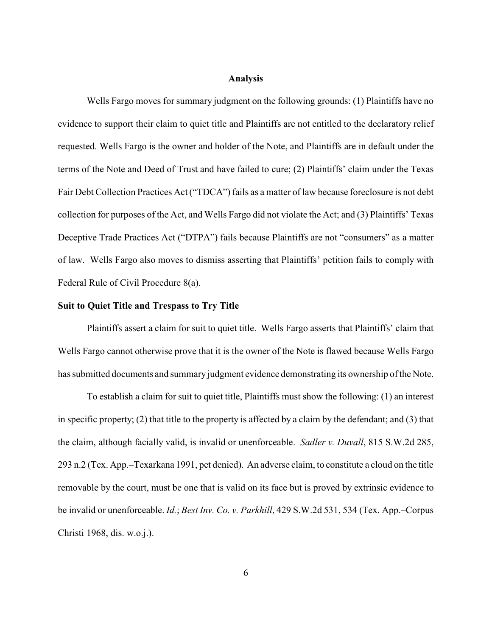#### **Analysis**

Wells Fargo moves for summary judgment on the following grounds: (1) Plaintiffs have no evidence to support their claim to quiet title and Plaintiffs are not entitled to the declaratory relief requested. Wells Fargo is the owner and holder of the Note, and Plaintiffs are in default under the terms of the Note and Deed of Trust and have failed to cure; (2) Plaintiffs' claim under the Texas Fair Debt Collection Practices Act ("TDCA") fails as a matter of law because foreclosure is not debt collection for purposes of the Act, and Wells Fargo did not violate the Act; and (3) Plaintiffs' Texas Deceptive Trade Practices Act ("DTPA") fails because Plaintiffs are not "consumers" as a matter of law. Wells Fargo also moves to dismiss asserting that Plaintiffs' petition fails to comply with Federal Rule of Civil Procedure 8(a).

## **Suit to Quiet Title and Trespass to Try Title**

Plaintiffs assert a claim for suit to quiet title. Wells Fargo asserts that Plaintiffs' claim that Wells Fargo cannot otherwise prove that it is the owner of the Note is flawed because Wells Fargo has submitted documents and summary judgment evidence demonstrating its ownership of the Note.

To establish a claim for suit to quiet title, Plaintiffs must show the following: (1) an interest in specific property; (2) that title to the property is affected by a claim by the defendant; and (3) that the claim, although facially valid, is invalid or unenforceable. *Sadler v. Duvall*, 815 S.W.2d 285, 293 n.2 (Tex. App.–Texarkana 1991, pet denied). An adverse claim, to constitute a cloud on the title removable by the court, must be one that is valid on its face but is proved by extrinsic evidence to be invalid or unenforceable. *Id.*; *Best Inv. Co. v. Parkhill*, 429 S.W.2d 531, 534 (Tex. App.–Corpus Christi 1968, dis. w.o.j.).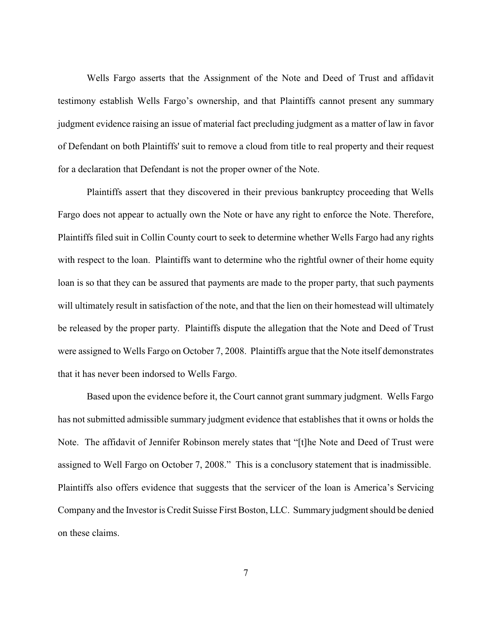Wells Fargo asserts that the Assignment of the Note and Deed of Trust and affidavit testimony establish Wells Fargo's ownership, and that Plaintiffs cannot present any summary judgment evidence raising an issue of material fact precluding judgment as a matter of law in favor of Defendant on both Plaintiffs' suit to remove a cloud from title to real property and their request for a declaration that Defendant is not the proper owner of the Note.

Plaintiffs assert that they discovered in their previous bankruptcy proceeding that Wells Fargo does not appear to actually own the Note or have any right to enforce the Note. Therefore, Plaintiffs filed suit in Collin County court to seek to determine whether Wells Fargo had any rights with respect to the loan. Plaintiffs want to determine who the rightful owner of their home equity loan is so that they can be assured that payments are made to the proper party, that such payments will ultimately result in satisfaction of the note, and that the lien on their homestead will ultimately be released by the proper party. Plaintiffs dispute the allegation that the Note and Deed of Trust were assigned to Wells Fargo on October 7, 2008. Plaintiffs argue that the Note itself demonstrates that it has never been indorsed to Wells Fargo.

Based upon the evidence before it, the Court cannot grant summary judgment. Wells Fargo has not submitted admissible summary judgment evidence that establishes that it owns or holds the Note. The affidavit of Jennifer Robinson merely states that "[t]he Note and Deed of Trust were assigned to Well Fargo on October 7, 2008." This is a conclusory statement that is inadmissible. Plaintiffs also offers evidence that suggests that the servicer of the loan is America's Servicing Company and the Investor is Credit Suisse First Boston, LLC. Summary judgment should be denied on these claims.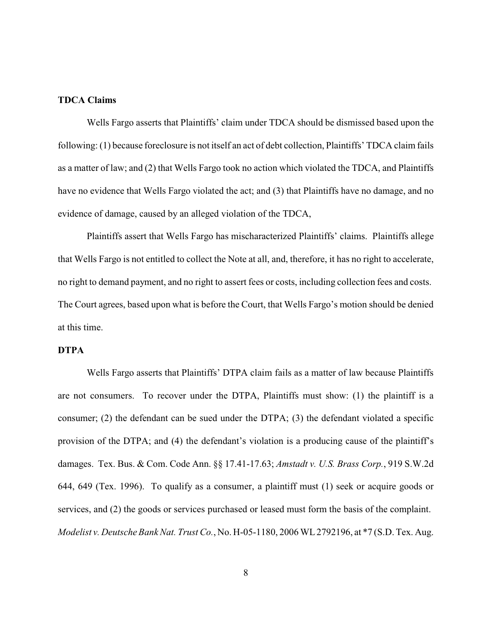## **TDCA Claims**

Wells Fargo asserts that Plaintiffs' claim under TDCA should be dismissed based upon the following: (1) because foreclosure is not itself an act of debt collection, Plaintiffs' TDCA claim fails as a matter of law; and (2) that Wells Fargo took no action which violated the TDCA, and Plaintiffs have no evidence that Wells Fargo violated the act; and (3) that Plaintiffs have no damage, and no evidence of damage, caused by an alleged violation of the TDCA,

Plaintiffs assert that Wells Fargo has mischaracterized Plaintiffs' claims. Plaintiffs allege that Wells Fargo is not entitled to collect the Note at all, and, therefore, it has no right to accelerate, no right to demand payment, and no right to assert fees or costs, including collection fees and costs. The Court agrees, based upon what is before the Court, that Wells Fargo's motion should be denied at this time.

# **DTPA**

Wells Fargo asserts that Plaintiffs' DTPA claim fails as a matter of law because Plaintiffs are not consumers. To recover under the DTPA, Plaintiffs must show: (1) the plaintiff is a consumer; (2) the defendant can be sued under the DTPA; (3) the defendant violated a specific provision of the DTPA; and (4) the defendant's violation is a producing cause of the plaintiff's damages. Tex. Bus. & Com. Code Ann. §§ 17.41-17.63; *Amstadt v. U.S. Brass Corp.*, 919 S.W.2d 644, 649 (Tex. 1996). To qualify as a consumer, a plaintiff must (1) seek or acquire goods or services, and (2) the goods or services purchased or leased must form the basis of the complaint. *Modelist v. DeutscheBank Nat. Trust Co.*, No. H-05-1180, 2006 WL2792196, at \*7 (S.D. Tex. Aug.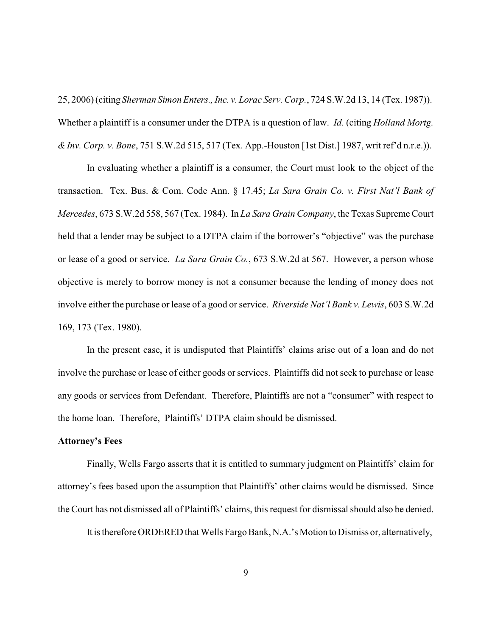25, 2006) (citing *Sherman Simon Enters., Inc. v. Lorac Serv. Corp.*, 724 S.W.2d 13, 14 (Tex. 1987)). Whether a plaintiff is a consumer under the DTPA is a question of law. *Id*. (citing *Holland Mortg. &Inv. Corp. v. Bone*, 751 S.W.2d 515, 517 (Tex. App.-Houston [1st Dist.] 1987, writ ref'd n.r.e.)).

In evaluating whether a plaintiff is a consumer, the Court must look to the object of the transaction. Tex. Bus. & Com. Code Ann. § 17.45; *La Sara Grain Co. v. First Nat'l Bank of Mercedes*, 673 S.W.2d 558, 567 (Tex. 1984). In *La Sara Grain Company*, the Texas Supreme Court held that a lender may be subject to a DTPA claim if the borrower's "objective" was the purchase or lease of a good or service. *La Sara Grain Co.*, 673 S.W.2d at 567. However, a person whose objective is merely to borrow money is not a consumer because the lending of money does not involve either the purchase or lease of a good or service. *Riverside Nat'l Bank v. Lewis*, 603 S.W.2d 169, 173 (Tex. 1980).

In the present case, it is undisputed that Plaintiffs' claims arise out of a loan and do not involve the purchase or lease of either goods or services. Plaintiffs did not seek to purchase or lease any goods or services from Defendant. Therefore, Plaintiffs are not a "consumer" with respect to the home loan. Therefore, Plaintiffs' DTPA claim should be dismissed.

## **Attorney's Fees**

Finally, Wells Fargo asserts that it is entitled to summary judgment on Plaintiffs' claim for attorney's fees based upon the assumption that Plaintiffs' other claims would be dismissed. Since the Court has not dismissed all of Plaintiffs' claims, this request for dismissal should also be denied.

It is therefore ORDERED that Wells Fargo Bank, N.A.'s Motion to Dismiss or, alternatively,